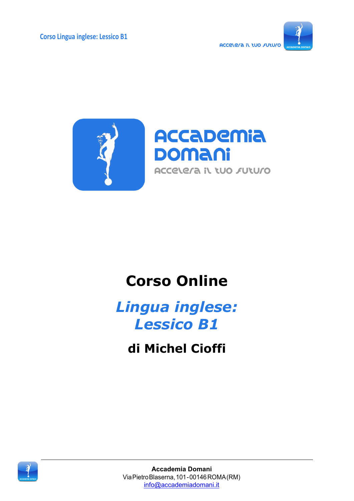



# **Corso Online**

*Lingua inglese: Lessico B1*

**di Michel Cioffi**

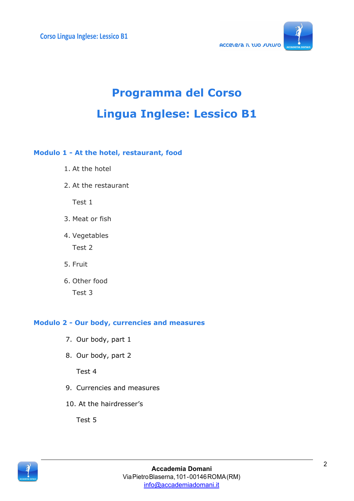

# **Programma del Corso Lingua Inglese: Lessico B1**

#### **Modulo 1 - At the hotel, restaurant, food**

- 1. At the hotel
- 2. At the restaurant

Test 1

- 3. Meat or fish
- 4. Vegetables Test 2
- 5. Fruit
- 6. Other food
	- Test 3

#### **Modulo 2 - Our body, currencies and measures**

- 7. Our body, part 1
- 8. Our body, part 2

Test 4

- 9. Currencies and measures
- 10. At the hairdresser's

Test 5